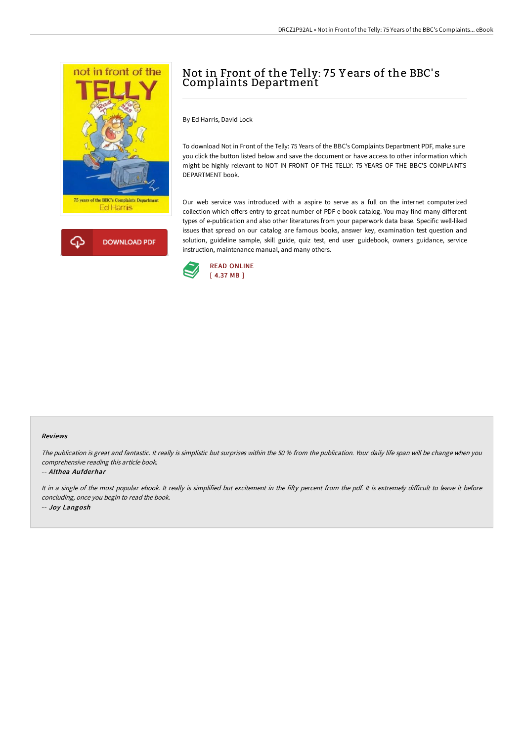

# Not in Front of the Telly: 75 Y ears of the BBC' s Complaints Department

By Ed Harris, David Lock

To download Not in Front of the Telly: 75 Years of the BBC's Complaints Department PDF, make sure you click the button listed below and save the document or have access to other information which might be highly relevant to NOT IN FRONT OF THE TELLY: 75 YEARS OF THE BBC'S COMPLAINTS DEPARTMENT book.

Our web service was introduced with a aspire to serve as a full on the internet computerized collection which offers entry to great number of PDF e-book catalog. You may find many different types of e-publication and also other literatures from your paperwork data base. Specific well-liked issues that spread on our catalog are famous books, answer key, examination test question and solution, guideline sample, skill guide, quiz test, end user guidebook, owners guidance, service instruction, maintenance manual, and many others.



#### Reviews

The publication is great and fantastic. It really is simplistic but surprises within the <sup>50</sup> % from the publication. Your daily life span will be change when you comprehensive reading this article book.

#### -- Althea Aufderhar

It in a single of the most popular ebook. It really is simplified but excitement in the fifty percent from the pdf. It is extremely difficult to leave it before concluding, once you begin to read the book. -- Joy Langosh